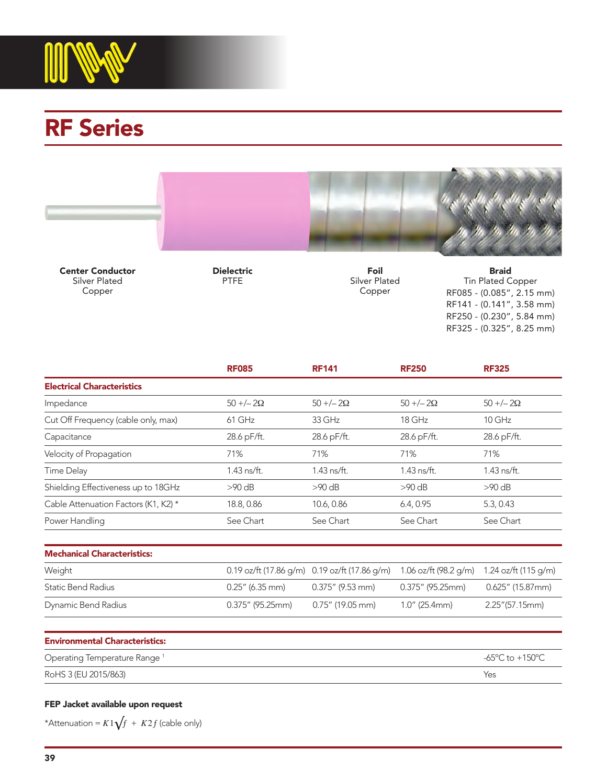

# RF Series



Center Conductor Silver Plated Copper

Dielectric PTFE

Foil Silver Plated Copper

Braid Tin Plated Copper RF085 - (0.085", 2.15 mm) RF141 - (0.141", 3.58 mm) RF250 - (0.230", 5.84 mm) RF325 - (0.325", 8.25 mm)

|                                      | <b>RF085</b> | <b>RF141</b>  | <b>RF250</b> | <b>RF325</b> |
|--------------------------------------|--------------|---------------|--------------|--------------|
| <b>Electrical Characteristics</b>    |              |               |              |              |
| Impedance                            | $50 + (-20)$ | $50 + (-20)$  | $50 + (-20)$ | $50 + (-20)$ |
| Cut Off Frequency (cable only, max)  | 61 GHz       | 33 GHz        | 18 GHz       | $10$ GHz     |
| Capacitance                          | 28.6 pF/ft.  | 28.6 pF/ft.   | 28.6 pF/ft.  | 28.6 pF/ft.  |
| Velocity of Propagation              | 71%          | 71%           | 71%          | 71%          |
| Time Delay                           | 1.43 ns/ft.  | $1.43$ ns/ft. | 1.43 ns/ft.  | 1.43 ns/ft.  |
| Shielding Effectiveness up to 18GHz  | $>90$ dB     | $>90$ dB      | $>90$ dB     | $>90$ dB     |
| Cable Attenuation Factors (K1, K2) * | 18.8, 0.86   | 10.6, 0.86    | 6.4, 0.95    | 5.3, 0.43    |
| Power Handling                       | See Chart    | See Chart     | See Chart    | See Chart    |

| Weight              |                     | 0.19 oz/ft (17.86 g/m) 0.19 oz/ft (17.86 g/m) 1.06 oz/ft (98.2 g/m) 1.24 oz/ft (115 g/m) |                     |                  |
|---------------------|---------------------|------------------------------------------------------------------------------------------|---------------------|------------------|
| Static Bend Radius  | $0.25''$ (6.35 mm)  | $0.375''$ (9.53 mm)                                                                      | $0.375''$ (95.25mm) | 0.625" (15.87mm) |
| Dynamic Bend Radius | $0.375''$ (95.25mm) | $0.75''$ (19.05 mm)                                                                      | $1.0''$ (25.4mm)    | 2.25" (57.15mm)  |

| <b>Environmental Characteristics:</b>    |                 |  |  |
|------------------------------------------|-----------------|--|--|
| Operating Temperature Range <sup>1</sup> | -65°C to +150°C |  |  |
| RoHS 3 (EU 2015/863)                     | Yes             |  |  |

#### FEP Jacket available upon request

\*Attenuation =  $K1\sqrt{f}$  +  $K2f$  (cable only)